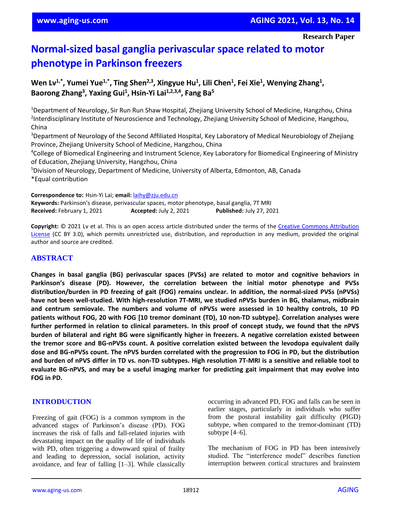# **Normal-sized basal ganglia perivascular space related to motor phenotype in Parkinson freezers**

Wen Lv<sup>1,\*</sup>, Yumei Yue<sup>1,\*</sup>, Ting Shen<sup>2,3</sup>, Xingyue Hu<sup>1</sup>, Lili Chen<sup>1</sup>, Fei Xie<sup>1</sup>, Wenying Zhang<sup>1</sup>, **Baorong Zhang<sup>3</sup> , Yaxing Gui<sup>1</sup> , Hsin-Yi Lai1,2,3,4, Fang Ba<sup>5</sup>**

<sup>1</sup>Department of Neurology, Sir Run Run Shaw Hospital, Zhejiang University School of Medicine, Hangzhou, China <sup>2</sup>Interdisciplinary Institute of Neuroscience and Technology, Zhejiang University School of Medicine, Hangzhou, China

<sup>3</sup>Department of Neurology of the Second Affiliated Hospital, Key Laboratory of Medical Neurobiology of Zhejiang Province, Zhejiang University School of Medicine, Hangzhou, China

<sup>4</sup>College of Biomedical Engineering and Instrument Science, Key Laboratory for Biomedical Engineering of Ministry of Education, Zhejiang University, Hangzhou, China

<sup>5</sup>Division of Neurology, Department of Medicine, University of Alberta, Edmonton, AB, Canada \*Equal contribution

**Correspondence to:** Hsin-Yi Lai; **email:** [laihy@zju.edu.cn](mailto:laihy@zju.edu.cn)

**Keywords:** Parkinson's disease, perivascular spaces, motor phenotype, basal ganglia, 7T MRI **Received:** February 1, 2021 **Accepted:** July 2, 2021 **Published:** July 27, 2021

**Copyright:** © 2021 Lv et al. This is an open access article distributed under the terms of the [Creative Commons Attribution](https://creativecommons.org/licenses/by/3.0/)  [License](https://creativecommons.org/licenses/by/3.0/) (CC BY 3.0), which permits unrestricted use, distribution, and reproduction in any medium, provided the original author and source are credited.

## **ABSTRACT**

**Changes in basal ganglia (BG) perivascular spaces (PVSs) are related to motor and cognitive behaviors in Parkinson's disease (PD). However, the correlation between the initial motor phenotype and PVSs distribution/burden in PD freezing of gait (FOG) remains unclear. In addition, the normal-sized PVSs (nPVSs) have not been well-studied. With high-resolution 7T-MRI, we studied nPVSs burden in BG, thalamus, midbrain and centrum semiovale. The numbers and volume of nPVSs were assessed in 10 healthy controls, 10 PD patients without FOG, 20 with FOG [10 tremor dominant (TD), 10 non-TD subtype]. Correlation analyses were** further performed in relation to clinical parameters. In this proof of concept study, we found that the nPVS **burden of bilateral and right BG were significantly higher in freezers. A negative correlation existed between the tremor score and BG-nPVSs count. A positive correlation existed between the levodopa equivalent daily** dose and BG-nPVSs count. The nPVS burden correlated with the progression to FOG in PD, but the distribution and burden of nPVS differ in TD vs. non-TD subtypes. High resolution 7T-MRI is a sensitive and reliable tool to **evaluate BG-nPVS, and may be a useful imaging marker for predicting gait impairment that may evolve into FOG in PD.**

## **INTRODUCTION**

Freezing of gait (FOG) is a common symptom in the advanced stages of Parkinson's disease (PD). FOG increases the risk of falls and fall-related injuries with devastating impact on the quality of life of individuals with PD, often triggering a downward spiral of frailty and leading to depression, social isolation, activity avoidance, and fear of falling [1–3]. While classically occurring in advanced PD, FOG and falls can be seen in earlier stages, particularly in individuals who suffer from the postural instability gait difficulty (PIGD) subtype, when compared to the tremor-dominant (TD) subtype [4–6].

The mechanism of FOG in PD has been intensively studied. The "interference model" describes function interruption between cortical structures and brainstem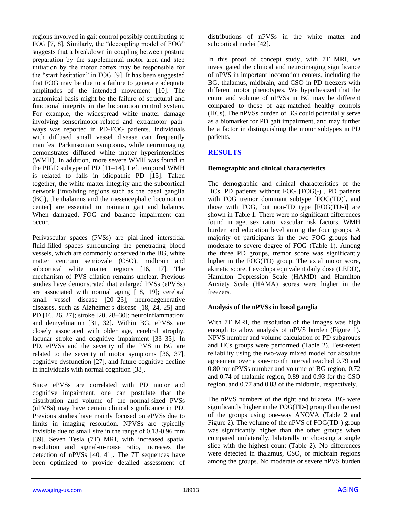regions involved in gait control possibly contributing to FOG [7, 8]. Similarly, the "decoupling model of FOG" suggests that a breakdown in coupling between posture preparation by the supplemental motor area and step initiation by the motor cortex may be responsible for the "start hesitation" in FOG [9]. It has been suggested that FOG may be due to a failure to generate adequate amplitudes of the intended movement [10]. The anatomical basis might be the failure of structural and functional integrity in the locomotion control system. For example, the widespread white matter damage involving sensorimotor-related and extramotor pathways was reported in PD-FOG patients. Individuals with diffused small vessel disease can frequently manifest Parkinsonian symptoms, while neuroimaging demonstrates diffused white matter hyperintensities (WMH). In addition, more severe WMH was found in the PIGD subtype of PD [11–14]. Left temporal WMH is related to falls in idiopathic PD [15]. Taken together, the white matter integrity and the subcortical network [involving regions such as the basal ganglia (BG), the thalamus and the mesencephalic locomotion center] are essential to maintain gait and balance. When damaged, FOG and balance impairment can occur.

Perivascular spaces (PVSs) are pial-lined interstitial fluid-filled spaces surrounding the penetrating blood vessels, which are commonly observed in the BG, white matter centrum semiovale (CSO), midbrain and subcortical white matter regions [16, 17]. The mechanism of PVS dilation remains unclear. Previous studies have demonstrated that enlarged PVSs (ePVSs) are associated with normal aging [18, 19]; cerebral small vessel disease [20–23]; neurodegenerative diseases, such as Alzheimer's disease [18, 24, 25] and PD [16, 26, 27]; stroke [20, 28–30]; neuroinflammation; and demyelination [31, 32]. Within BG, ePVSs are closely associated with older age, cerebral atrophy, lacunar stroke and cognitive impairment [33–35]. In PD, ePVSs and the severity of the PVS in BG are related to the severity of motor symptoms [36, 37], cognitive dysfunction [27], and future cognitive decline in individuals with normal cognition [38].

Since ePVSs are correlated with PD motor and cognitive impairment, one can postulate that the distribution and volume of the normal-sized PVSs (nPVSs) may have certain clinical significance in PD. Previous studies have mainly focused on ePVSs due to limits in imaging resolution. NPVSs are typically invisible due to small size in the range of 0.13-0.96 mm [39]. Seven Tesla (7T) MRI, with increased spatial resolution and signal-to-noise ratio, increases the detection of nPVSs [40, 41]. The 7T sequences have been optimized to provide detailed assessment of

distributions of nPVSs in the white matter and subcortical nuclei [42].

In this proof of concept study, with 7T MRI, we investigated the clinical and neuroimaging significance of nPVS in important locomotion centers, including the BG, thalamus, midbrain, and CSO in PD freezers with different motor phenotypes. We hypothesized that the count and volume of nPVSs in BG may be different compared to those of age-matched healthy controls (HCs). The nPVSs burden of BG could potentially serve as a biomarker for PD gait impairment, and may further be a factor in distinguishing the motor subtypes in PD patients.

## **RESULTS**

## **Demographic and clinical characteristics**

The demographic and clinical characteristics of the HCs, PD patients without FOG [FOG(-)], PD patients with FOG tremor dominant subtype [FOG(TD)], and those with FOG, but non-TD type [FOG(TD-)] are shown in Table 1. There were no significant differences found in age, sex ratio, vascular risk factors, WMH burden and education level among the four groups. A majority of participants in the two FOG groups had moderate to severe degree of FOG (Table 1). Among the three PD groups, tremor score was significantly higher in the FOG(TD) group. The axial motor score, akinetic score, Levodopa equivalent daily dose (LEDD), Hamilton Depression Scale (HAMD) and Hamilton Anxiety Scale (HAMA) scores were higher in the freezers.

## **Analysis of the nPVSs in basal ganglia**

With 7T MRI, the resolution of the images was high enough to allow analysis of nPVS burden (Figure 1). NPVS number and volume calculation of PD subgroups and HCs groups were performed (Table 2). Test-retest reliability using the two-way mixed model for absolute agreement over a one-month interval reached 0.79 and 0.80 for nPVSs number and volume of BG region, 0.72 and 0.74 of thalamic region, 0.89 and 0.93 for the CSO region, and 0.77 and 0.83 of the midbrain, respectively.

The nPVS numbers of the right and bilateral BG were significantly higher in the FOG(TD-) group than the rest of the groups using one-way ANOVA (Table 2 and Figure 2). The volume of the nPVS of FOG(TD-) group was significantly higher than the other groups when compared unilaterally, bilaterally or choosing a single slice with the highest count (Table 2). No differences were detected in thalamus, CSO, or midbrain regions among the groups. No moderate or severe nPVS burden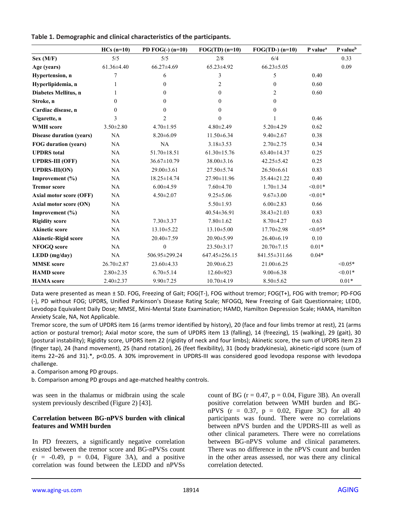|                             | $HCs(n=10)$     | PD $FOG(-)$ (n=10) | $FOG(TD)$ (n=10)    | $FOG(TD-) (n=10)$ | P value <sup>a</sup> | P value <sup>b</sup> |
|-----------------------------|-----------------|--------------------|---------------------|-------------------|----------------------|----------------------|
| Sex (M/F)                   | 5/5             | 5/5                | 2/8                 | 6/4               |                      | 0.33                 |
| Age (years)                 | 61.36±4.40      | 66.27±4.69         | 65.23±4.92          | $66.23 \pm 5.05$  |                      | 0.09                 |
| Hypertension, n             | 7               | 6                  | 3                   | 5                 | 0.40                 |                      |
| Hyperlipidemia, n           |                 | $\mathbf{0}$       | $\overline{c}$      | $\overline{0}$    | 0.60                 |                      |
| Diabetes Mellitus, n        |                 | $\overline{0}$     | $\theta$            | $\overline{2}$    | 0.60                 |                      |
| Stroke, n                   | $\theta$        | $\overline{0}$     | $\theta$            | $\theta$          |                      |                      |
| Cardiac disease, n          | $\mathbf{0}$    | $\mathbf{0}$       | $\Omega$            | $\overline{0}$    |                      |                      |
| Cigarette, n                | 3               | $\overline{2}$     | $\theta$            |                   | 0.46                 |                      |
| <b>WMH</b> score            | $3.50 \pm 2.80$ | $4.70 \pm 1.95$    | $4.80 \pm 2.49$     | $5.20 \pm 4.29$   | 0.62                 |                      |
| Disease duration (years)    | NA              | $8.20 \pm 6.09$    | $11.50 \pm 6.34$    | $9.40 \pm 2.67$   | 0.38                 |                      |
| <b>FOG</b> duration (years) | NA              | NA                 | $3.18 \pm 3.53$     | $2.70 \pm 2.75$   | 0.34                 |                      |
| <b>UPDRS</b> total          | NA              | 51.70±18.51        | $61.30 \pm 15.76$   | 63.40±14.37       | 0.25                 |                      |
| <b>UPDRS-III (OFF)</b>      | NA              | 36.67±10.79        | 38.00±3.16          | $42.25 \pm 5.42$  | 0.25                 |                      |
| <b>UPDRS-III(ON)</b>        | NA              | 29.00±3.61         | $27.50 \pm 5.74$    | $26.50\pm 6.61$   | 0.83                 |                      |
| Improvement $(\% )$         | NA              | $18.25 \pm 14.74$  | $27.90 \pm 11.96$   | 35.44±21.22       | 0.40                 |                      |
| <b>Tremor score</b>         | NA              | $6.00 \pm 4.59$    | $7.60 \pm 4.70$     | $1.70 \pm 1.34$   | $< 0.01*$            |                      |
| Axial motor score (OFF)     | NA              | $4.50 \pm 2.07$    | $9.25 \pm 5.06$     | $9.67 \pm 3.00$   | $< 0.01*$            |                      |
| Axial motor score (ON)      | <b>NA</b>       |                    | $5.50 \pm 1.93$     | $6.00 \pm 2.83$   | 0.66                 |                      |
| Improvement (%)             | <b>NA</b>       |                    | 40.54±36.91         | 38.43±21.03       | 0.83                 |                      |
| <b>Rigidity score</b>       | NA              | $7.30 \pm 3.37$    | $7.80 \pm 1.62$     | $8.70 \pm 4.27$   | 0.63                 |                      |
| <b>Akinetic score</b>       | NA              | $13.10 \pm 5.22$   | $13.10 \pm 5.00$    | $17.70 \pm 2.98$  | $< 0.05*$            |                      |
| <b>Akinetic-Rigid score</b> | NA              | 20.40±7.59         | $20.90 \pm 5.99$    | $26.40\pm 6.19$   | 0.10                 |                      |
| <b>NFOGQ</b> score          | NA              | $\mathbf{0}$       | $23.50 \pm 3.17$    | $20.70 \pm 7.15$  | $0.01*$              |                      |
| LEDD (mg/day)               | NA              | 506.95±299.24      | $647.45 \pm 256.15$ | 841.55±311.66     | $0.04*$              |                      |
| <b>MMSE</b> score           | 26.70±2.87      | 23.60±4.33         | $20.90\pm 6.23$     | 21.00±6.25        |                      | $< 0.05*$            |
| <b>HAMD</b> score           | $2.80 \pm 2.35$ | $6.70 \pm 5.14$    | 12.60±923           | $9.00 \pm 6.38$   |                      | $< 0.01*$            |
| <b>HAMA</b> score           | $2.40 \pm 2.37$ | $9.90 \pm 7.25$    | $10.70 + 4.19$      | $8.50 \pm 5.62$   |                      | $0.01*$              |

**Table 1. Demographic and clinical characteristics of the participants.**

Data were presented as mean ± SD. FOG, Freezing of Gait; FOG(T-), FOG without tremor; FOG(T+), FOG with tremor; PD-FOG (-), PD without FOG; UPDRS, Unified Parkinson's Disease Rating Scale; NFOGQ, New Freezing of Gait Questionnaire; LEDD, Levodopa Equivalent Daily Dose; MMSE, Mini-Mental State Examination; HAMD, Hamilton Depression Scale; HAMA, Hamilton Anxiety Scale, NA, Not Applicable.

Tremor score, the sum of UPDRS item 16 (arms tremor identified by history), 20 (face and four limbs tremor at rest), 21 (arms action or postural tremor); Axial motor score, the sum of UPDRS item 13 (falling), 14 (freezing), 15 (walking), 29 (gait), 30 (postural instability); Rigidity score, UPDRS item 22 (rigidity of neck and four limbs); Akinetic score, the sum of UPDRS item 23 (finger tap), 24 (hand movement), 25 (hand rotation), 26 (feet flexibility), 31 (body bradykinesia), akinetic-rigid score (sum of items 22–26 and 31).\*, p<0.05. A 30% improvement in UPDRS-III was considered good levodopa response with levodopa challenge.

a. Comparison among PD groups.

b. Comparison among PD groups and age-matched healthy controls.

was seen in the thalamus or midbrain using the scale system previously described (Figure 2) [43].

#### **Correlation between BG-nPVS burden with clinical features and WMH burden**

In PD freezers, a significantly negative correlation existed between the tremor score and BG-nPVSs count  $(r = -0.49, p = 0.04,$  Figure 3A), and a positive correlation was found between the LEDD and nPVSs count of BG ( $r = 0.47$ ,  $p = 0.04$ , Figure 3B). An overall positive correlation between WMH burden and BGnPVS  $(r = 0.37, p = 0.02,$  Figure 3C) for all 40 participants was found. There were no correlations between nPVS burden and the UPDRS-III as well as other clinical parameters. There were no correlations between BG-nPVS volume and clinical parameters. There was no difference in the nPVS count and burden in the other areas assessed, nor was there any clinical correlation detected.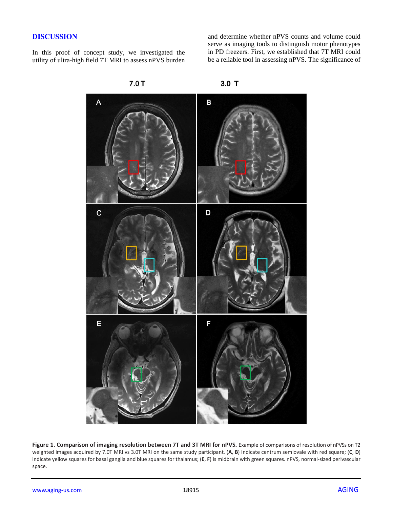#### **DISCUSSION**

In this proof of concept study, we investigated the utility of ultra-high field 7T MRI to assess nPVS burden and determine whether nPVS counts and volume could serve as imaging tools to distinguish motor phenotypes in PD freezers. First, we established that 7T MRI could be a reliable tool in assessing nPVS. The significance of



 $7.0T$ 

Figure 1. Comparison of imaging resolution between 7T and 3T MRI for nPVS. Example of comparisons of resolution of nPVSs on T2 weighted images acquired by 7.0T MRI vs 3.0T MRI on the same study participant. (**A**, **B**) Indicate centrum semiovale with red square; (**C**, **D**) indicate yellow squares for basal ganglia and blue squares for thalamus; (**E**, **F**) is midbrain with green squares. nPVS, normal-sized perivascular space.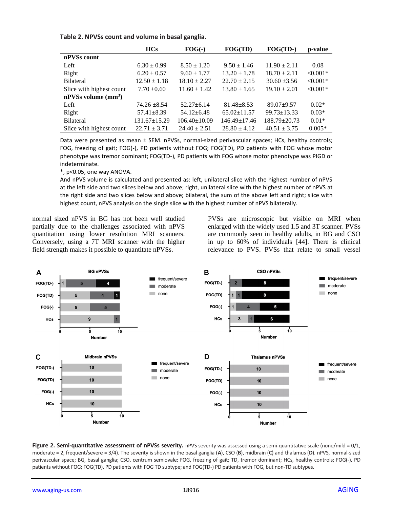| Table 2. NPVSs count and volume in basal ganglia. |  |  |
|---------------------------------------------------|--|--|
|---------------------------------------------------|--|--|

|                          | <b>HCs</b>         | $FOG(-)$           | FOG(TD)            | $FOG(TD-)$        | p-value    |
|--------------------------|--------------------|--------------------|--------------------|-------------------|------------|
| nPVSs count              |                    |                    |                    |                   |            |
| Left                     | $6.30 \pm 0.99$    | $8.50 \pm 1.20$    | $9.50 \pm 1.46$    | $11.90 \pm 2.11$  | 0.08       |
| Right                    | $6.20 \pm 0.57$    | $9.60 \pm 1.77$    | $13.20 \pm 1.78$   | $18.70 \pm 2.11$  | $< 0.001*$ |
| <b>Bilateral</b>         | $12.50 \pm 1.18$   | $18.10 \pm 2.27$   | $22.70 \pm 2.15$   | $30.60 + 3.56$    | $< 0.001*$ |
| Slice with highest count | $7.70 \pm 0.60$    | $11.60 \pm 1.42$   | $13.80 \pm 1.65$   | $19.10 \pm 2.01$  | $< 0.001*$ |
| $nPVSs$ volume $(mm3)$   |                    |                    |                    |                   |            |
| Left                     | $74.26 \pm 8.54$   | $52.27 + 6.14$     | $81.48 \pm 8.53$   | $89.07+9.57$      | $0.02*$    |
| Right                    | $57.41 \pm 8.39$   | $54.12 \pm 6.48$   | $65.02 \pm 11.57$  | $99.73 \pm 13.33$ | $0.03*$    |
| <b>Bilateral</b>         | $131.67 \pm 15.29$ | $106.40 \pm 10.09$ | $146.49 \pm 17.46$ | $188.79 + 20.73$  | $0.01*$    |
| Slice with highest count | $22.71 \pm 3.71$   | $24.40 \pm 2.51$   | $28.80 \pm 4.12$   | $40.51 \pm 3.75$  | $0.005*$   |

Data were presented as mean ± SEM. nPVSs, normal-sized perivascular spaces; HCs, healthy controls; FOG, freezing of gait; FOG(-), PD patients without FOG; FOG(TD), PD patients with FOG whose motor phenotype was tremor dominant; FOG(TD-), PD patients with FOG whose motor phenotype was PIGD or indeterminate.

\*, p<0.05, one way ANOVA.

And nPVS volume is calculated and presented as: left, unilateral slice with the highest number of nPVS at the left side and two slices below and above; right, unilateral slice with the highest number of nPVS at the right side and two slices below and above; bilateral, the sum of the above left and right; slice with highest count, nPVS analysis on the single slice with the highest number of nPVS bilaterally.

normal sized nPVS in BG has not been well studied partially due to the challenges associated with nPVS quantitation using lower resolution MRI scanners. Conversely, using a 7T MRI scanner with the higher field strength makes it possible to quantitate nPVSs.

PVSs are microscopic but visible on MRI when enlarged with the widely used 1.5 and 3T scanner. PVSs are commonly seen in healthy adults, in BG and CSO in up to 60% of individuals [44]. There is clinical relevance to PVS. PVSs that relate to small vessel



**Figure 2. Semi-quantitative assessment of nPVSs severity.** nPVS severity was assessed using a semi-quantitative scale (none/mild = 0/1, moderate = 2, frequent/severe = 3/4). The severity is shown in the basal ganglia (**A**), CSO (**B**), midbrain (**C**) and thalamus (**D**). nPVS, normal-sized perivascular space; BG, basal ganglia; CSO, centrum semiovale; FOG, freezing of gait; TD, tremor dominant; HCs, healthy controls; FOG(-), PD patients without FOG; FOG(TD), PD patients with FOG TD subtype; and FOG(TD-) PD patients with FOG, but non-TD subtypes.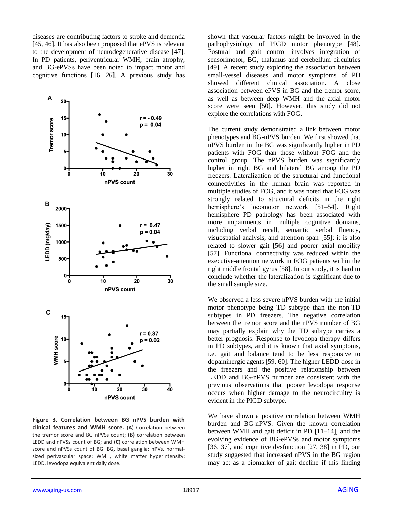diseases are contributing factors to stroke and dementia [45, 46]. It has also been proposed that ePVS is relevant to the development of neurodegenerative disease [47]. In PD patients, periventricular WMH, brain atrophy, and BG-ePVSs have been noted to impact motor and cognitive functions [16, 26]. A previous study has



**Figure 3. Correlation between BG nPVS burden with clinical features and WMH score.** (**A**) Correlation between the tremor score and BG nPVSs count; (**B**) correlation between LEDD and nPVSs count of BG; and (**C**) correlation between WMH score and nPVSs count of BG. BG, basal ganglia; nPVs, normalsized perivascular space; WMH, white matter hyperintensity; LEDD, levodopa equivalent daily dose.

shown that vascular factors might be involved in the pathophysiology of PIGD motor phenotype [48]. Postural and gait control involves integration of sensorimotor, BG, thalamus and cerebellum circuitries [49]. A recent study exploring the association between small-vessel diseases and motor symptoms of PD showed different clinical association. A close association between ePVS in BG and the tremor score, as well as between deep WMH and the axial motor score were seen [50]. However, this study did not explore the correlations with FOG.

The current study demonstrated a link between motor phenotypes and BG-nPVS burden. We first showed that nPVS burden in the BG was significantly higher in PD patients with FOG than those without FOG and the control group. The nPVS burden was significantly higher in right BG and bilateral BG among the PD freezers. Lateralization of the structural and functional connectivities in the human brain was reported in multiple studies of FOG, and it was noted that FOG was strongly related to structural deficits in the right hemisphere's locomotor network [51–54]. Right hemisphere PD pathology has been associated with more impairments in multiple cognitive domains, including verbal recall, semantic verbal fluency, visuospatial analysis, and attention span [55]; it is also related to slower gait [56] and poorer axial mobility [57]. Functional connectivity was reduced within the executive-attention network in FOG patients within the right middle frontal gyrus [58]. In our study, it is hard to conclude whether the lateralization is significant due to the small sample size.

We observed a less severe nPVS burden with the initial motor phenotype being TD subtype than the non-TD subtypes in PD freezers. The negative correlation between the tremor score and the nPVS number of BG may partially explain why the TD subtype carries a better prognosis. Response to levodopa therapy differs in PD subtypes, and it is known that axial symptoms, i.e. gait and balance tend to be less responsive to dopaminergic agents [59, 60]. The higher LEDD dose in the freezers and the positive relationship between LEDD and BG-nPVS number are consistent with the previous observations that poorer levodopa response occurs when higher damage to the neurocircuitry is evident in the PIGD subtype.

We have shown a positive correlation between WMH burden and BG-nPVS. Given the known correlation between WMH and gait deficit in PD [11–14], and the evolving evidence of BG-ePVSs and motor symptoms [36, 37], and cognitive dysfunction [27, 38] in PD, our study suggested that increased nPVS in the BG region may act as a biomarker of gait decline if this finding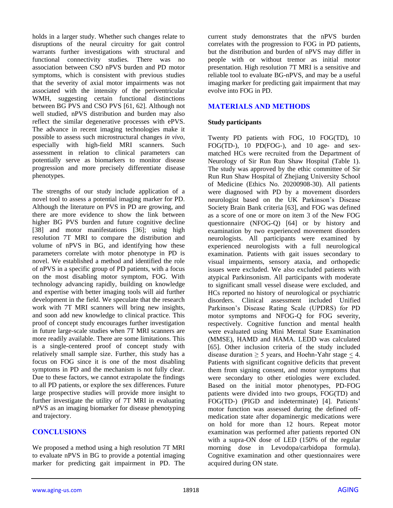holds in a larger study. Whether such changes relate to disruptions of the neural circuitry for gait control warrants further investigations with structural and functional connectivity studies. There was no association between CSO nPVS burden and PD motor symptoms, which is consistent with previous studies that the severity of axial motor impairments was not associated with the intensity of the periventricular WMH, suggesting certain functional distinctions between BG PVS and CSO PVS [61, 62]. Although not well studied, nPVS distribution and burden may also reflect the similar degenerative processes with ePVS. The advance in recent imaging technologies make it possible to assess such microstructural changes *in vivo*, especially with high-field MRI scanners*.* Such assessment in relation to clinical parameters can potentially serve as biomarkers to monitor disease progression and more precisely differentiate disease phenotypes.

The strengths of our study include application of a novel tool to assess a potential imaging marker for PD. Although the literature on PVS in PD are growing, and there are more evidence to show the link between higher BG PVS burden and future cognitive decline [38] and motor manifestations [36]; using high resolution 7T MRI to compare the distribution and volume of nPVS in BG, and identifying how these parameters correlate with motor phenotype in PD is novel. We established a method and identified the role of nPVS in a specific group of PD patients, with a focus on the most disabling motor symptom, FOG. With technology advancing rapidly, building on knowledge and expertise with better imaging tools will aid further development in the field. We speculate that the research work with 7T MRI scanners will bring new insights, and soon add new knowledge to clinical practice. This proof of concept study encourages further investigation in future large-scale studies when 7T MRI scanners are more readily available. There are some limitations. This is a single-centered proof of concept study with relatively small sample size. Further, this study has a focus on FOG since it is one of the most disabling symptoms in PD and the mechanism is not fully clear. Due to these factors, we cannot extrapolate the findings to all PD patients, or explore the sex differences. Future large prospective studies will provide more insight to further investigate the utility of 7T MRI in evaluating nPVS as an imaging biomarker for disease phenotyping and trajectory.

## **CONCLUSIONS**

We proposed a method using a high resolution 7T MRI to evaluate nPVS in BG to provide a potential imaging marker for predicting gait impairment in PD. The

current study demonstrates that the nPVS burden correlates with the progression to FOG in PD patients, but the distribution and burden of nPVS may differ in people with or without tremor as initial motor presentation. High resolution 7T MRI is a sensitive and reliable tool to evaluate BG-nPVS, and may be a useful imaging marker for predicting gait impairment that may evolve into FOG in PD.

## **MATERIALS AND METHODS**

## **Study participants**

Twenty PD patients with FOG, 10 FOG(TD), 10 FOG(TD-), 10 PD(FOG-), and 10 age- and sexmatched HCs were recruited from the Department of Neurology of Sir Run Run Shaw Hospital (Table 1). The study was approved by the ethic committee of Sir Run Run Shaw Hospital of Zhejiang University School of Medicine (Ethics No. 20200908-30). All patients were diagnosed with PD by a movement disorders neurologist based on the UK Parkinson's Disease Society Brain Bank criteria [63], and FOG was defined as a score of one or more on item 3 of the New FOG questionnaire (NFOG-Q) [64] or by history and examination by two experienced movement disorders neurologists. All participants were examined by experienced neurologists with a full neurological examination. Patients with gait issues secondary to visual impairments, sensory ataxia, and orthopedic issues were excluded. We also excluded patients with atypical Parkinsonism. All participants with moderate to significant small vessel disease were excluded, and HCs reported no history of neurological or psychiatric disorders. Clinical assessment included Unified Parkinson's Disease Rating Scale (UPDRS) for PD motor symptoms and NFOG-Q for FOG severity, respectively. Cognitive function and mental health were evaluated using Mini Mental State Examination (MMSE), HAMD and HAMA. LEDD was calculated [65]. Other inclusion criteria of the study included disease duration  $\geq 5$  years, and Hoehn-Yahr stage  $< 4$ . Patients with significant cognitive deficits that prevent them from signing consent, and motor symptoms that were secondary to other etiologies were excluded. Based on the initial motor phenotypes, PD-FOG patients were divided into two groups, FOG(TD) and FOG(TD-) (PIGD and indeterminate) [4]. Patients' motor function was assessed during the defined offmedication state after dopaminergic medications were on hold for more than 12 hours. Repeat motor examination was performed after patients reported ON with a supra-ON dose of LED (150% of the regular morning dose in Levodopa/carbidopa formula). Cognitive examination and other questionnaires were acquired during ON state.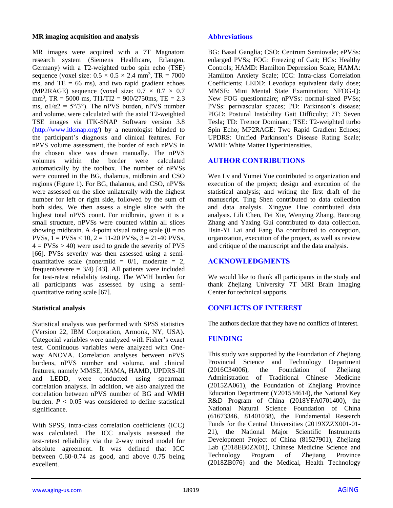#### **MR imaging acquisition and analysis**

MR images were acquired with a 7T Magnatom research system (Siemens Healthcare, Erlangen, Germany) with a T2-weighted turbo spin echo (TSE) sequence (voxel size:  $0.5 \times 0.5 \times 2.4$  mm<sup>3</sup>, TR = 7000 ms, and  $TE = 66$  ms), and two rapid gradient echoes (MP2RAGE) sequence (voxel size:  $0.7 \times 0.7 \times 0.7$ mm<sup>3</sup>, TR = 5000 ms, TI1/TI2 = 900/2750ms, TE = 2.3 ms,  $\alpha 1/\alpha 2 = 5^{\circ}/3^{\circ}$ ). The nPVS burden, nPVS number and volume, were calculated with the axial T2-weighted TSE images via ITK-SNAP Software version 3.8 [\(http://www.itksnap.org/\)](http://www.itksnap.org/) by a neurologist blinded to the participant's diagnosis and clinical features. For nPVS volume assessment, the border of each nPVS in the chosen slice was drawn manually. The nPVS volumes within the border were calculated automatically by the toolbox. The number of nPVSs were counted in the BG, thalamus, midbrain and CSO regions (Figure 1). For BG, thalamus, and CSO, nPVSs were assessed on the slice unilaterally with the highest number for left or right side, followed by the sum of both sides. We then assess a single slice with the highest total nPVS count. For midbrain, given it is a small structure, nPVSs were counted within all slices showing midbrain. A 4-point visual rating scale  $(0 = no$ PVSs,  $1 = PV$ Ss < 10,  $2 = 11$ -20 PVSs,  $3 = 21$ -40 PVSs,  $4 = PVSs > 40$ ) were used to grade the severity of PVS [66]. PVSs severity was then assessed using a semiquantitative scale (none/mild =  $0/1$ , moderate = 2, frequent/severe  $= 3/4$ ) [43]. All patients were included for test-retest reliability testing. The WMH burden for all participants was assessed by using a semiquantitative rating scale [67].

## **Statistical analysis**

Statistical analysis was performed with SPSS statistics (Version 22, IBM Corporation, Armonk, NY, USA). Categorial variables were analyzed with Fisher's exact test. Continuous variables were analyzed with Oneway ANOVA. Correlation analyses between nPVS burdens, nPVS number and volume, and clinical features, namely MMSE, HAMA, HAMD, UPDRS-III and LEDD, were conducted using spearman correlation analysis. In addition, we also analyzed the correlation between nPVS number of BG and WMH burden.  $P < 0.05$  was considered to define statistical significance.

With SPSS, intra-class correlation coefficients (ICC) was calculated. The ICC analysis assessed the test-retest reliability via the 2-way mixed model for absolute agreement. It was defined that ICC between 0.60-0.74 as good, and above 0.75 being excellent.

#### **Abbreviations**

BG: Basal Ganglia; CSO: Centrum Semiovale; ePVSs: enlarged PVSs; FOG: Freezing of Gait; HCs: Healthy Controls; HAMD: Hamilton Depression Scale; HAMA: Hamilton Anxiety Scale; ICC: Intra-class Correlation Coefficients; LEDD: Levodopa equivalent daily dose; MMSE: Mini Mental State Examination; NFOG-Q: New FOG questionnaire; nPVSs: normal-sized PVSs; PVSs: perivascular spaces; PD: Parkinson's disease; PIGD: Postural Instability Gait Difficulty; 7T: Seven Tesla; TD: Tremor Dominant; TSE: T2-weighted turbo Spin Echo; MP2RAGE: Two Rapid Gradient Echoes; UPDRS: Unified Parkinson's Disease Rating Scale; WMH: White Matter Hyperintensities.

## **AUTHOR CONTRIBUTIONS**

Wen Lv and Yumei Yue contributed to organization and execution of the project; design and execution of the statistical analysis; and writing the first draft of the manuscript. Ting Shen contributed to data collection and data analysis. Xingyue Hue contributed data analysis. Lili Chen, Fei Xie, Wenying Zhang, Baorong Zhang and Yaxing Gui contributed to data collection. Hsin-Yi Lai and Fang Ba contributed to conception, organization, execution of the project, as well as review and critique of the manuscript and the data analysis.

## **ACKNOWLEDGMENTS**

We would like to thank all participants in the study and thank Zhejiang University 7T MRI Brain Imaging Center for technical supports.

# **CONFLICTS OF INTEREST**

The authors declare that they have no conflicts of interest.

## **FUNDING**

This study was supported by the Foundation of Zhejiang Provincial Science and Technology Department  $(2016C34006)$ , the Foundation of Zheijang Administration of Traditional Chinese Medicine (2015ZA061), the Foundation of Zhejiang Province Education Department (Y201534614), the National Key R&D Program of China (2018YFA0701400), the National Natural Science Foundation of China (61673346, 81401038), the Fundamental Research Funds for the Central Universities (2019XZZX001-01- 21), the National Major Scientific Instruments Development Project of China (81527901), Zhejiang Lab (2018EB0ZX01), Chinese Medicine Science and Technology Program of Zhejiang Province (2018ZB076) and the Medical, Health Technology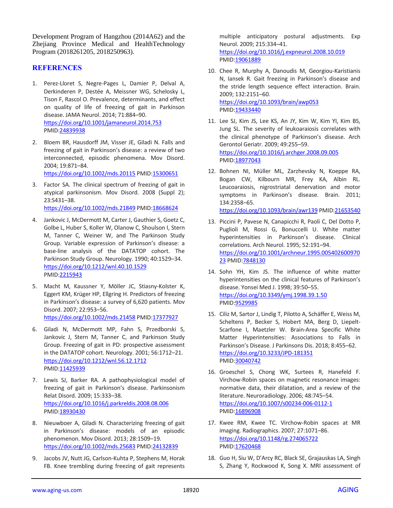Development Program of Hangzhou (2014A62) and the Zhejiang Province Medical and HealthTechnology Program (2018261205, 2018250963).

#### **REFERENCES**

- 1. Perez-Lloret S, Negre-Pages L, Damier P, Delval A, Derkinderen P, Destée A, Meissner WG, Schelosky L, Tison F, Rascol O. Prevalence, determinants, and effect on quality of life of freezing of gait in Parkinson disease. JAMA Neurol. 2014; 71:884–90. <https://doi.org/10.1001/jamaneurol.2014.753> PMID[:24839938](https://pubmed.ncbi.nlm.nih.gov/24839938)
- 2. Bloem BR, Hausdorff JM, Visser JE, Giladi N. Falls and freezing of gait in Parkinson's disease: a review of two interconnected, episodic phenomena. Mov Disord. 2004; 19:871–84.

<https://doi.org/10.1002/mds.20115> PMID[:15300651](https://pubmed.ncbi.nlm.nih.gov/15300651)

- 3. Factor SA. The clinical spectrum of freezing of gait in atypical parkinsonism. Mov Disord. 2008 (Suppl 2); 23:S431–38. <https://doi.org/10.1002/mds.21849> PMID[:18668624](https://pubmed.ncbi.nlm.nih.gov/18668624)
- 4. Jankovic J, McDermott M, Carter J, Gauthier S, Goetz C, Golbe L, Huber S, Koller W, Olanow C, Shoulson I, Stern M, Tanner C, Weiner W, and The Parkinson Study Group. Variable expression of Parkinson's disease: a base-line analysis of the DATATOP cohort. The Parkinson Study Group. Neurology. 1990; 40:1529–34. <https://doi.org/10.1212/wnl.40.10.1529> PMID[:2215943](https://pubmed.ncbi.nlm.nih.gov/2215943)
- 5. Macht M, Kaussner Y, Möller JC, Stiasny-Kolster K, Eggert KM, Krüger HP, Ellgring H. Predictors of freezing in Parkinson's disease: a survey of 6,620 patients. Mov Disord. 2007; 22:953–56. <https://doi.org/10.1002/mds.21458> PMID[:17377927](https://pubmed.ncbi.nlm.nih.gov/17377927)
- 6. Giladi N, McDermott MP, Fahn S, Przedborski S, Jankovic J, Stern M, Tanner C, and Parkinson Study Group. Freezing of gait in PD: prospective assessment in the DATATOP cohort. Neurology. 2001; 56:1712–21. <https://doi.org/10.1212/wnl.56.12.1712> PMID[:11425939](https://pubmed.ncbi.nlm.nih.gov/11425939)
- 7. Lewis SJ, Barker RA. A pathophysiological model of freezing of gait in Parkinson's disease. Parkinsonism Relat Disord. 2009; 15:333–38. <https://doi.org/10.1016/j.parkreldis.2008.08.006> PMID[:18930430](https://pubmed.ncbi.nlm.nih.gov/18930430)
- 8. Nieuwboer A, Giladi N. Characterizing freezing of gait in Parkinson's disease: models of an episodic phenomenon. Mov Disord. 2013; 28:1509–19. <https://doi.org/10.1002/mds.25683> PMID[:24132839](https://pubmed.ncbi.nlm.nih.gov/24132839)
- 9. Jacobs JV, Nutt JG, Carlson-Kuhta P, Stephens M, Horak FB. Knee trembling during freezing of gait represents

multiple anticipatory postural adjustments. Exp Neurol. 2009; 215:334–41. <https://doi.org/10.1016/j.expneurol.2008.10.019> PMI[D:19061889](https://pubmed.ncbi.nlm.nih.gov/19061889)

- 10. Chee R, Murphy A, Danoudis M, Georgiou-Karistianis N, Iansek R. Gait freezing in Parkinson's disease and the stride length sequence effect interaction. Brain. 2009; 132:2151–60. <https://doi.org/10.1093/brain/awp053> PMI[D:19433440](https://pubmed.ncbi.nlm.nih.gov/19433440)
- 11. Lee SJ, Kim JS, Lee KS, An JY, Kim W, Kim YI, Kim BS, Jung SL. The severity of leukoaraiosis correlates with the clinical phenotype of Parkinson's disease. Arch Gerontol Geriatr. 2009; 49:255–59. <https://doi.org/10.1016/j.archger.2008.09.005> PMI[D:18977043](https://pubmed.ncbi.nlm.nih.gov/18977043)
- 12. Bohnen NI, Müller ML, Zarzhevsky N, Koeppe RA, Bogan CW, Kilbourn MR, Frey KA, Albin RL. Leucoaraiosis, nigrostriatal denervation and motor symptoms in Parkinson's disease. Brain. 2011; 134:2358–65. <https://doi.org/10.1093/brain/awr139> PMI[D:21653540](https://pubmed.ncbi.nlm.nih.gov/21653540)
- 13. Piccini P, Pavese N, Canapicchi R, Paoli C, Del Dotto P, Puglioli M, Rossi G, Bonuccelli U. White matter hyperintensities in Parkinson's disease. Clinical correlations. Arch Neurol. 1995; 52:191–94. [https://doi.org/10.1001/archneur.1995.005402600970](https://doi.org/10.1001/archneur.1995.00540260097023) [23](https://doi.org/10.1001/archneur.1995.00540260097023) PMI[D:7848130](https://pubmed.ncbi.nlm.nih.gov/7848130)
- 14. Sohn YH, Kim JS. The influence of white matter hyperintensities on the clinical features of Parkinson's disease. Yonsei Med J. 1998; 39:50–55. <https://doi.org/10.3349/ymj.1998.39.1.50> PMI[D:9529985](https://pubmed.ncbi.nlm.nih.gov/9529985)
- 15. Ciliz M, Sartor J, Lindig T, Pilotto A, Schäffer E, Weiss M, Scheltens P, Becker S, Hobert MA, Berg D, Liepelt-Scarfone I, Maetzler W. Brain-Area Specific White Matter Hyperintensities: Associations to Falls in Parkinson's Disease. J Parkinsons Dis. 2018; 8:455–62. <https://doi.org/10.3233/JPD-181351> PMI[D:30040742](https://pubmed.ncbi.nlm.nih.gov/30040742)
- 16. Groeschel S, Chong WK, Surtees R, Hanefeld F. Virchow-Robin spaces on magnetic resonance images: normative data, their dilatation, and a review of the literature. Neuroradiology. 2006; 48:745–54. <https://doi.org/10.1007/s00234-006-0112-1> PMI[D:16896908](https://pubmed.ncbi.nlm.nih.gov/16896908)
- 17. Kwee RM, Kwee TC. Virchow-Robin spaces at MR imaging. Radiographics. 2007; 27:1071–86. <https://doi.org/10.1148/rg.274065722> PMI[D:17620468](https://pubmed.ncbi.nlm.nih.gov/17620468)
- 18. Guo H, Siu W, D'Arcy RC, Black SE, Grajauskas LA, Singh S, Zhang Y, Rockwood K, Song X. MRI assessment of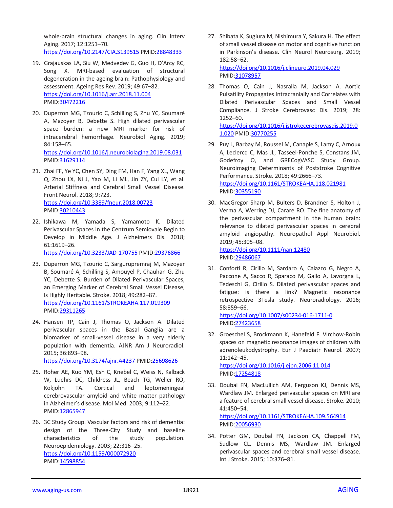whole-brain structural changes in aging. Clin Interv Aging. 2017; 12:1251–70.

<https://doi.org/10.2147/CIA.S139515> PMID[:28848333](https://pubmed.ncbi.nlm.nih.gov/28848333)

- 19. Grajauskas LA, Siu W, Medvedev G, Guo H, D'Arcy RC, Song X. MRI-based evaluation of structural degeneration in the ageing brain: Pathophysiology and assessment. Ageing Res Rev. 2019; 49:67–82. <https://doi.org/10.1016/j.arr.2018.11.004> PMID[:30472216](https://pubmed.ncbi.nlm.nih.gov/30472216)
- 20. Duperron MG, Tzourio C, Schilling S, Zhu YC, Soumaré A, Mazoyer B, Debette S. High dilated perivascular space burden: a new MRI marker for risk of intracerebral hemorrhage. Neurobiol Aging. 2019; 84:158–65. <https://doi.org/10.1016/j.neurobiolaging.2019.08.031>

PMID[:31629114](https://pubmed.ncbi.nlm.nih.gov/31629114)

- 21. Zhai FF, Ye YC, Chen SY, Ding FM, Han F, Yang XL, Wang Q, Zhou LX, Ni J, Yao M, Li ML, Jin ZY, Cui LY, et al. Arterial Stiffness and Cerebral Small Vessel Disease. Front Neurol. 2018; 9:723. <https://doi.org/10.3389/fneur.2018.00723> PMID[:30210443](https://pubmed.ncbi.nlm.nih.gov/30210443)
- 22. Ishikawa M, Yamada S, Yamamoto K. Dilated Perivascular Spaces in the Centrum Semiovale Begin to Develop in Middle Age. J Alzheimers Dis. 2018; 61:1619–26.

<https://doi.org/10.3233/JAD-170755> PMID[:29376866](https://pubmed.ncbi.nlm.nih.gov/29376866)

- 23. Duperron MG, Tzourio C, Sargurupremraj M, Mazoyer B, Soumaré A, Schilling S, Amouyel P, Chauhan G, Zhu YC, Debette S. Burden of Dilated Perivascular Spaces, an Emerging Marker of Cerebral Small Vessel Disease, Is Highly Heritable. Stroke. 2018; 49:282–87. <https://doi.org/10.1161/STROKEAHA.117.019309> PMID[:29311265](https://pubmed.ncbi.nlm.nih.gov/29311265)
- 24. Hansen TP, Cain J, Thomas O, Jackson A. Dilated perivascular spaces in the Basal Ganglia are a biomarker of small-vessel disease in a very elderly population with dementia. AJNR Am J Neuroradiol. 2015; 36:893–98.

<https://doi.org/10.3174/ajnr.A4237> PMID[:25698626](https://pubmed.ncbi.nlm.nih.gov/25698626)

- 25. Roher AE, Kuo YM, Esh C, Knebel C, Weiss N, Kalback W, Luehrs DC, Childress JL, Beach TG, Weller RO, Kokjohn TA. Cortical and leptomeningeal cerebrovascular amyloid and white matter pathology in Alzheimer's disease. Mol Med. 2003; 9:112–22. PMID[:12865947](https://pubmed.ncbi.nlm.nih.gov/12865947)
- 26. 3C Study Group. Vascular factors and risk of dementia: design of the Three-City Study and baseline characteristics of the study population. Neuroepidemiology. 2003; 22:316–25. <https://doi.org/10.1159/000072920> PMID[:14598854](https://pubmed.ncbi.nlm.nih.gov/14598854)

27. Shibata K, Sugiura M, Nishimura Y, Sakura H. The effect of small vessel disease on motor and cognitive function in Parkinson's disease. Clin Neurol Neurosurg. 2019; 182:58–62. <https://doi.org/10.1016/j.clineuro.2019.04.029>

PMI[D:31078957](https://pubmed.ncbi.nlm.nih.gov/31078957)

28. Thomas O, Cain J, Nasralla M, Jackson A. Aortic Pulsatility Propagates Intracranially and Correlates with Dilated Perivascular Spaces and Small Vessel Compliance. J Stroke Cerebrovasc Dis. 2019; 28: 1252–60. [https://doi.org/10.1016/j.jstrokecerebrovasdis.2019.0](https://doi.org/10.1016/j.jstrokecerebrovasdis.2019.01.020) [1.020](https://doi.org/10.1016/j.jstrokecerebrovasdis.2019.01.020) PMID[:30770255](https://pubmed.ncbi.nlm.nih.gov/30770255)

29. Puy L, Barbay M, Roussel M, Canaple S, Lamy C, Arnoux A, Leclercq C, Mas JL, Tasseel-Ponche S, Constans JM, Godefroy O, and GRECogVASC Study Group. Neuroimaging Determinants of Poststroke Cognitive Performance. Stroke. 2018; 49:2666–73. <https://doi.org/10.1161/STROKEAHA.118.021981>

PMI[D:30355190](https://pubmed.ncbi.nlm.nih.gov/30355190)

30. MacGregor Sharp M, Bulters D, Brandner S, Holton J, Verma A, Werring DJ, Carare RO. The fine anatomy of the perivascular compartment in the human brain: relevance to dilated perivascular spaces in cerebral amyloid angiopathy. Neuropathol Appl Neurobiol. 2019; 45:305–08.

<https://doi.org/10.1111/nan.12480> PMI[D:29486067](https://pubmed.ncbi.nlm.nih.gov/29486067)

31. Conforti R, Cirillo M, Sardaro A, Caiazzo G, Negro A, Paccone A, Sacco R, Sparaco M, Gallo A, Lavorgna L, Tedeschi G, Cirillo S. Dilated perivascular spaces and fatigue: is there a link? Magnetic resonance retrospective 3Tesla study. Neuroradiology. 2016; 58:859–66.

<https://doi.org/10.1007/s00234-016-1711-0> PMI[D:27423658](https://pubmed.ncbi.nlm.nih.gov/27423658)

- 32. Groeschel S, Brockmann K, Hanefeld F. Virchow-Robin spaces on magnetic resonance images of children with adrenoleukodystrophy. Eur J Paediatr Neurol. 2007; 11:142–45. <https://doi.org/10.1016/j.ejpn.2006.11.014> PMI[D:17254818](https://pubmed.ncbi.nlm.nih.gov/17254818)
- 33. Doubal FN, MacLullich AM, Ferguson KJ, Dennis MS, Wardlaw JM. Enlarged perivascular spaces on MRI are a feature of cerebral small vessel disease. Stroke. 2010; 41:450–54. <https://doi.org/10.1161/STROKEAHA.109.564914>

PMI[D:20056930](https://pubmed.ncbi.nlm.nih.gov/20056930)

34. Potter GM, Doubal FN, Jackson CA, Chappell FM, Sudlow CL, Dennis MS, Wardlaw JM. Enlarged perivascular spaces and cerebral small vessel disease. Int J Stroke. 2015; 10:376–81.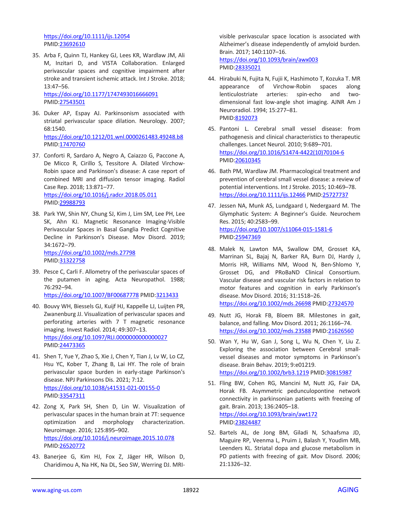<https://doi.org/10.1111/ijs.12054> PMID[:23692610](https://pubmed.ncbi.nlm.nih.gov/23692610)

35. Arba F, Quinn TJ, Hankey GJ, Lees KR, Wardlaw JM, Ali M, Inzitari D, and VISTA Collaboration. Enlarged perivascular spaces and cognitive impairment after stroke and transient ischemic attack. Int J Stroke. 2018; 13:47–56.

<https://doi.org/10.1177/1747493016666091> PMID[:27543501](https://pubmed.ncbi.nlm.nih.gov/27543501)

- 36. Duker AP, Espay AJ. Parkinsonism associated with striatal perivascular space dilation. Neurology. 2007; 68:1540. <https://doi.org/10.1212/01.wnl.0000261483.49248.b8> PMID: 17470760
- 37. Conforti R, Sardaro A, Negro A, Caiazzo G, Paccone A, De Micco R, Cirillo S, Tessitore A. Dilated Virchow-Robin space and Parkinson's disease: A case report of combined MRI and diffusion tensor imaging. Radiol Case Rep. 2018; 13:871–77. <https://doi.org/10.1016/j.radcr.2018.05.011> PMID[:29988793](https://pubmed.ncbi.nlm.nih.gov/29988793)
- 38. Park YW, Shin NY, Chung SJ, Kim J, Lim SM, Lee PH, Lee SK, Ahn KJ. Magnetic Resonance Imaging-Visible Perivascular Spaces in Basal Ganglia Predict Cognitive Decline in Parkinson's Disease. Mov Disord. 2019; 34:1672–79. <https://doi.org/10.1002/mds.27798>

PMID[:31322758](https://pubmed.ncbi.nlm.nih.gov/31322758)

39. Pesce C, Carli F. Allometry of the perivascular spaces of the putamen in aging. Acta Neuropathol. 1988; 76:292–94.

<https://doi.org/10.1007/BF00687778> PMID[:3213433](https://pubmed.ncbi.nlm.nih.gov/3213433)

- 40. Bouvy WH, Biessels GJ, Kuijf HJ, Kappelle LJ, Luijten PR, Zwanenburg JJ. Visualization of perivascular spaces and perforating arteries with 7 T magnetic resonance imaging. Invest Radiol. 2014; 49:307–13. <https://doi.org/10.1097/RLI.0000000000000027> PMID[:24473365](https://pubmed.ncbi.nlm.nih.gov/24473365)
- 41. Shen T, Yue Y, Zhao S, Xie J, Chen Y, Tian J, Lv W, Lo CZ, Hsu YC, Kober T, Zhang B, Lai HY. The role of brain perivascular space burden in early-stage Parkinson's disease. NPJ Parkinsons Dis. 2021; 7:12. <https://doi.org/10.1038/s41531-021-00155-0> PMID[:33547311](https://pubmed.ncbi.nlm.nih.gov/33547311)
- 42. Zong X, Park SH, Shen D, Lin W. Visualization of perivascular spaces in the human brain at 7T: sequence optimization and morphology characterization. Neuroimage. 2016; 125:895–902. <https://doi.org/10.1016/j.neuroimage.2015.10.078> PMID[:26520772](https://pubmed.ncbi.nlm.nih.gov/26520772)
- 43. Banerjee G, Kim HJ, Fox Z, Jäger HR, Wilson D, Charidimou A, Na HK, Na DL, Seo SW, Werring DJ. MRI-

visible perivascular space location is associated with Alzheimer's disease independently of amyloid burden. Brain. 2017; 140:1107–16. <https://doi.org/10.1093/brain/awx003> PMI[D:28335021](https://pubmed.ncbi.nlm.nih.gov/28335021)

- 44. Hirabuki N, Fujita N, Fujii K, Hashimoto T, Kozuka T. MR appearance of Virchow-Robin spaces along lenticulostriate arteries: spin-echo and twodimensional fast low-angle shot imaging. AJNR Am J Neuroradiol. 1994; 15:277–81. PMI[D:8192073](https://pubmed.ncbi.nlm.nih.gov/8192073)
- 45. Pantoni L. Cerebral small vessel disease: from pathogenesis and clinical characteristics to therapeutic challenges. Lancet Neurol. 2010; 9:689–701. [https://doi.org/10.1016/S1474-4422\(10\)70104-6](https://doi.org/10.1016/S1474-4422(10)70104-6) PMI[D:20610345](https://pubmed.ncbi.nlm.nih.gov/20610345)
- 46. Bath PM, Wardlaw JM. Pharmacological treatment and prevention of cerebral small vessel disease: a review of potential interventions. Int J Stroke. 2015; 10:469–78. <https://doi.org/10.1111/ijs.12466> PMID[:25727737](https://pubmed.ncbi.nlm.nih.gov/25727737)
- 47. Jessen NA, Munk AS, Lundgaard I, Nedergaard M. The Glymphatic System: A Beginner's Guide. Neurochem Res. 2015; 40:2583–99. <https://doi.org/10.1007/s11064-015-1581-6> PMI[D:25947369](https://pubmed.ncbi.nlm.nih.gov/25947369)
- 48. Malek N, Lawton MA, Swallow DM, Grosset KA, Marrinan SL, Bajaj N, Barker RA, Burn DJ, Hardy J, Morris HR, Williams NM, Wood N, Ben-Shlomo Y, Grosset DG, and PRoBaND Clinical Consortium. Vascular disease and vascular risk factors in relation to motor features and cognition in early Parkinson's disease. Mov Disord. 2016; 31:1518–26. <https://doi.org/10.1002/mds.26698> PMID[:27324570](https://pubmed.ncbi.nlm.nih.gov/27324570)
- 49. Nutt JG, Horak FB, Bloem BR. Milestones in gait, balance, and falling. Mov Disord. 2011; 26:1166–74. <https://doi.org/10.1002/mds.23588> PMID[:21626560](https://pubmed.ncbi.nlm.nih.gov/21626560)
- 50. Wan Y, Hu W, Gan J, Song L, Wu N, Chen Y, Liu Z. Exploring the association between Cerebral smallvessel diseases and motor symptoms in Parkinson's disease. Brain Behav. 2019; 9:e01219. <https://doi.org/10.1002/brb3.1219> PMID[:30815987](https://pubmed.ncbi.nlm.nih.gov/30815987)
- 51. Fling BW, Cohen RG, Mancini M, Nutt JG, Fair DA, Horak FB. Asymmetric pedunculopontine network connectivity in parkinsonian patients with freezing of gait. Brain. 2013; 136:2405–18. <https://doi.org/10.1093/brain/awt172> PMI[D:23824487](https://pubmed.ncbi.nlm.nih.gov/23824487)
- 52. Bartels AL, de Jong BM, Giladi N, Schaafsma JD, Maguire RP, Veenma L, Pruim J, Balash Y, Youdim MB, Leenders KL. Striatal dopa and glucose metabolism in PD patients with freezing of gait. Mov Disord. 2006; 21:1326–32.